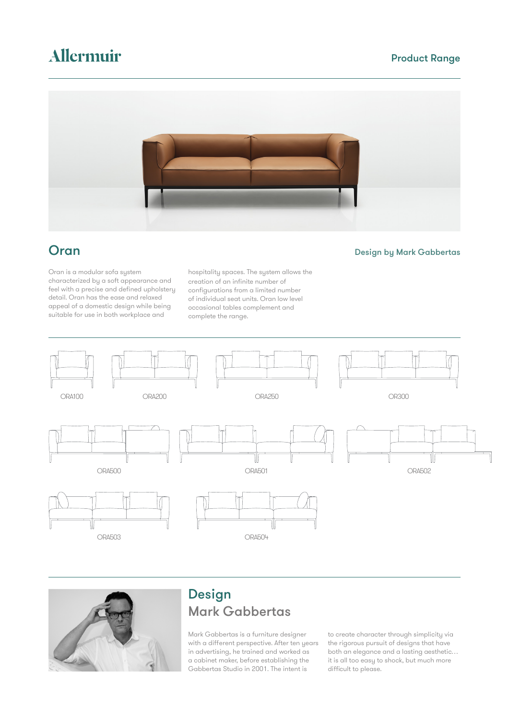# Allermuir

### Product Range



**Oran Design by Mark Gabbertas** 

Oran is a modular sofa system characterized by a soft appearance and feel with a precise and defined upholstery detail. Oran has the ease and relaxed appeal of a domestic design while being suitable for use in both workplace and

hospitality spaces. The system allows the creation of an infinite number of configurations from a limited number of individual seat units. Oran low level occasional tables complement and complete the range.





## Design Mark Gabbertas

Mark Gabbertas is a furniture designer with a different perspective. After ten years in advertising, he trained and worked as a cabinet maker, before establishing the Gabbertas Studio in 2001. The intent is

to create character through simplicity via the rigorous pursuit of designs that have both an elegance and a lasting aesthetic… it is all too easy to shock, but much more difficult to please.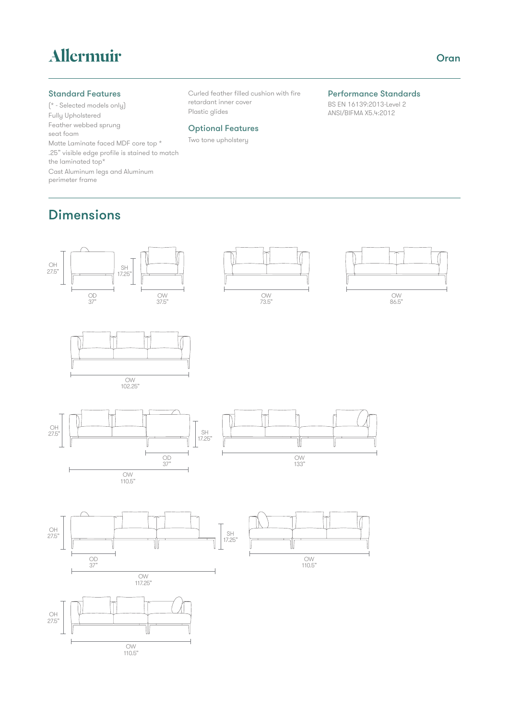# Allermuir

### Standard Features

(\* - Selected models only) Fully Upholstered Feather webbed sprung seat foam Matte Laminate faced MDF core top \* .25" visible edge profile is stained to match the laminated top\* Cast Aluminum legs and Aluminum perimeter frame

Curled feather filled cushion with fire retardant inner cover Plastic glides

### Optional Features

Two tone upholstery

### Performance Standards

BS EN 16139:2013-Level 2 ANSI/BIFMA X5.4:2012

### Dimensions

OH<br>27.5